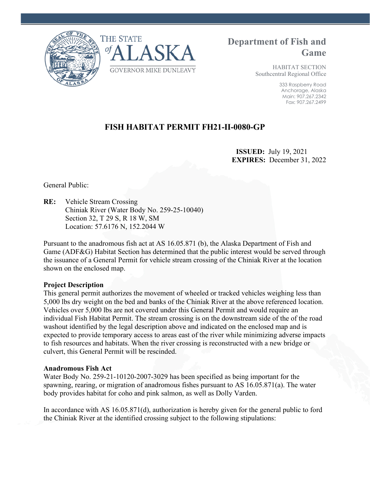



# **Department of Fish and Game**

HABITAT SECTION Southcentral Regional Office

> 333 Raspberry Road Anchorage, Alaska Main: 907.267.2342 Fax: 907.267.2499

# **FISH HABITAT PERMIT FH21-II-0080-GP**

 **ISSUED:** July 19, 2021 **EXPIRES:** December 31, 2022

General Public:

**RE:** Vehicle Stream Crossing Chiniak River (Water Body No. 259-25-10040) Section 32, T 29 S, R 18 W, SM Location: 57.6176 N, 152.2044 W

Pursuant to the anadromous fish act at AS 16.05.871 (b), the Alaska Department of Fish and Game (ADF&G) Habitat Section has determined that the public interest would be served through the issuance of a General Permit for vehicle stream crossing of the Chiniak River at the location shown on the enclosed map.

#### **Project Description**

This general permit authorizes the movement of wheeled or tracked vehicles weighing less than 5,000 lbs dry weight on the bed and banks of the Chiniak River at the above referenced location. Vehicles over 5,000 lbs are not covered under this General Permit and would require an individual Fish Habitat Permit. The stream crossing is on the downstream side of the of the road washout identified by the legal description above and indicated on the enclosed map and is expected to provide temporary access to areas east of the river while minimizing adverse impacts to fish resources and habitats. When the river crossing is reconstructed with a new bridge or culvert, this General Permit will be rescinded.

#### **Anadromous Fish Act**

Water Body No. 259-21-10120-2007-3029 has been specified as being important for the spawning, rearing, or migration of anadromous fishes pursuant to AS 16.05.871(a). The water body provides habitat for coho and pink salmon, as well as Dolly Varden.

In accordance with AS 16.05.871(d), authorization is hereby given for the general public to ford the Chiniak River at the identified crossing subject to the following stipulations: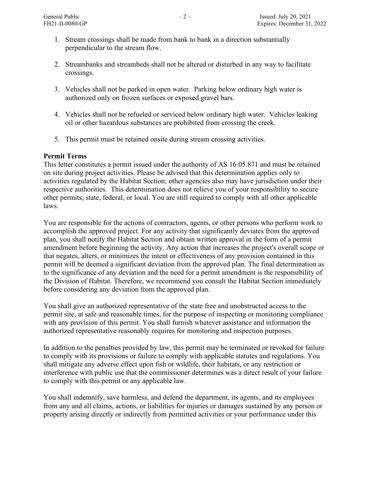- 1. Stream crossings shall be made from bank to bank in a direction substantially perpendicular to the stream flow.
- 2. Streambanks and streambeds shall not be altered or disturbed in any way to facilitate crossings.
- 3. Vehicles shall not be parked in open water. Parking below ordinary high water is authorized only on frozen surfaces or exposed gravel bars.
- 4. Vehicles shall not be refueled or serviced below ordinary high water. Vehicles leaking oil or other hazardous substances are prohibited from crossing the creek.
- 5. This permit must be retained onsite during stream crossing activities.

## **Permit Terms**

This letter constitutes a permit issued under the authority of AS 16.05.871 and must be retained on site during project activities. Please be advised that this determination applies only to activities regulated by the Habitat Section; other agencies also may have jurisdiction under their respective authorities. This determination does not relieve you of your responsibility to secure other permits; state, federal, or local. You are still required to comply with all other applicable laws.

You are responsible for the actions of contractors, agents, or other persons who perform work to accomplish the approved project. For any activity that significantly deviates from the approved plan, you shall notify the Habitat Section and obtain written approval in the form of a permit amendment before beginning the activity. Any action that increases the project's overall scope or that negates, alters, or minimizes the intent or effectiveness of any provision contained in this permit will be deemed a significant deviation from the approved plan. The final determination as to the significance of any deviation and the need for a permit amendment is the responsibility of the Division of Habitat. Therefore, we recommend you consult the Habitat Section immediately before considering any deviation from the approved plan.

You shall give an authorized representative of the state free and unobstructed access to the permit site, at safe and reasonable times, for the purpose of inspecting or monitoring compliance with any provision of this permit. You shall furnish whatever assistance and information the authorized representative reasonably requires for monitoring and inspection purposes.

In addition to the penalties provided by law, this permit may be terminated or revoked for failure to comply with its provisions or failure to comply with applicable statutes and regulations. You shall mitigate any adverse effect upon fish or wildlife, their habitats, or any restriction or interference with public use that the commissioner determines was a direct result of your failure to comply with this permit or any applicable law.

You shall indemnify, save harmless, and defend the department, its agents, and its employees from any and all claims, actions, or liabilities for injuries or damages sustained by any person or property arising directly or indirectly from permitted activities or your performance under this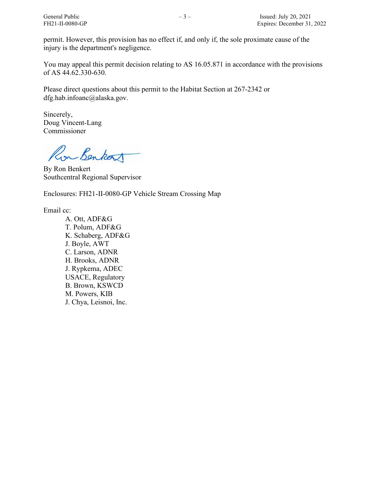permit. However, this provision has no effect if, and only if, the sole proximate cause of the injury is the department's negligence.

You may appeal this permit decision relating to AS 16.05.871 in accordance with the provisions of AS 44.62.330-630.

Please direct questions about this permit to the Habitat Section at 267-2342 or dfg.hab.infoanc@alaska.gov.

Sincerely, Doug Vincent-Lang Commissioner

Ron Benkort

By Ron Benkert Southcentral Regional Supervisor

Enclosures: FH21-II-0080-GP Vehicle Stream Crossing Map

Email cc:

A. Ott, ADF&G T. Polum, ADF&G K. Schaberg, ADF&G J. Boyle, AWT C. Larson, ADNR H. Brooks, ADNR J. Rypkema, ADEC USACE, Regulatory B. Brown, KSWCD M. Powers, KIB J. Chya, Leisnoi, Inc.